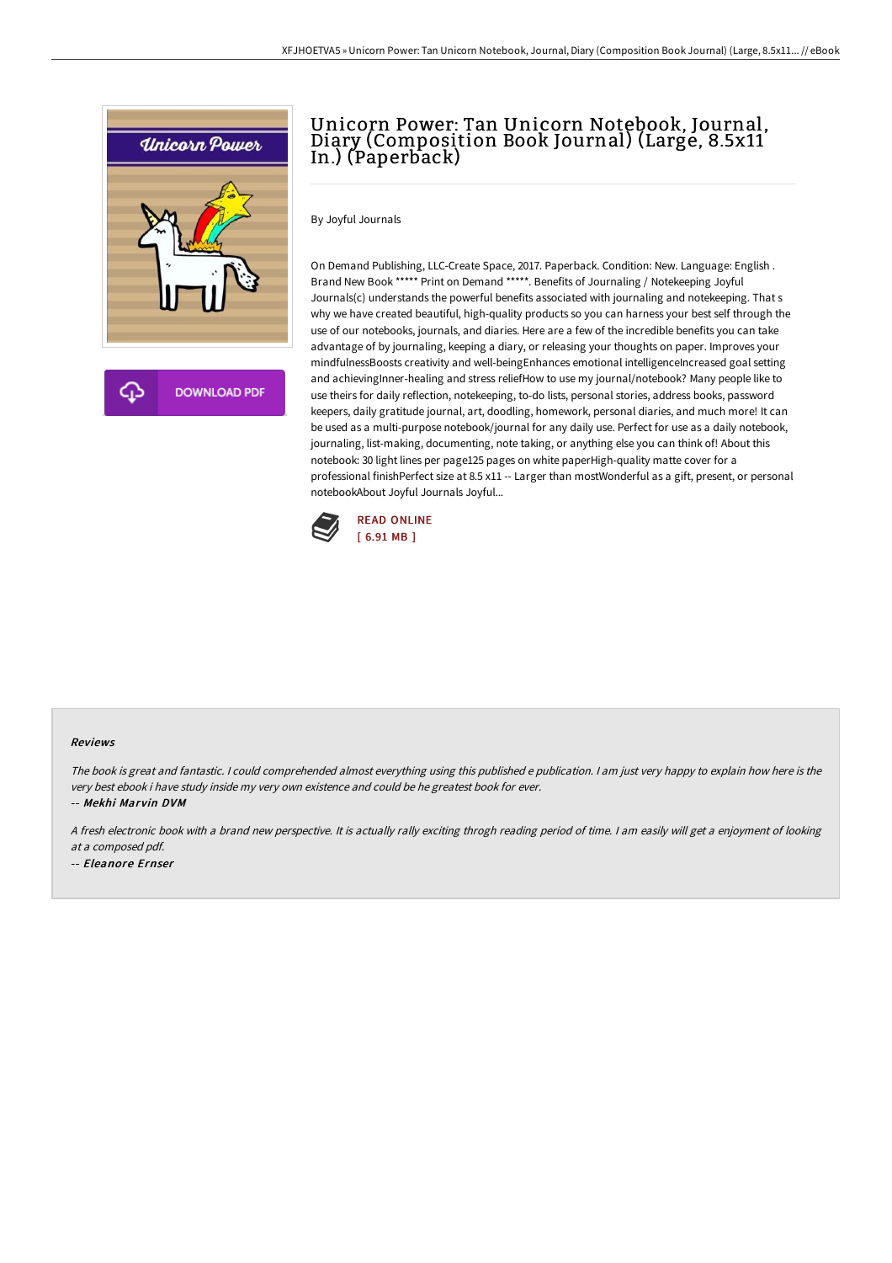

## Unicorn Power: Tan Unicorn Notebook, Journal, Diary (Composition Book Journal) (Large, 8.5x11 In.) (Paperback)

By Joyful Journals

On Demand Publishing, LLC-Create Space, 2017. Paperback. Condition: New. Language: English . Brand New Book \*\*\*\*\* Print on Demand \*\*\*\*\*. Benefits of Journaling / Notekeeping Joyful Journals(c) understands the powerful benefits associated with journaling and notekeeping. That s why we have created beautiful, high-quality products so you can harness your best self through the use of our notebooks, journals, and diaries. Here are a few of the incredible benefits you can take advantage of by journaling, keeping a diary, or releasing your thoughts on paper. Improves your mindfulnessBoosts creativity and well-beingEnhances emotional intelligenceIncreased goal setting and achievingInner-healing and stress reliefHow to use my journal/notebook? Many people like to use theirs for daily reflection, notekeeping, to-do lists, personal stories, address books, password keepers, daily gratitude journal, art, doodling, homework, personal diaries, and much more! It can be used as a multi-purpose notebook/journal for any daily use. Perfect for use as a daily notebook, journaling, list-making, documenting, note taking, or anything else you can think of! About this notebook: 30 light lines per page125 pages on white paperHigh-quality matte cover for a professional finishPerfect size at 8.5 x11 -- Larger than mostWonderful as a gift, present, or personal notebookAbout Joyful Journals Joyful...



## Reviews

The book is great and fantastic. <sup>I</sup> could comprehended almost everything using this published <sup>e</sup> publication. <sup>I</sup> am just very happy to explain how here is the very best ebook i have study inside my very own existence and could be he greatest book for ever.

-- Mekhi Marvin DVM

<sup>A</sup> fresh electronic book with <sup>a</sup> brand new perspective. It is actually rally exciting throgh reading period of time. <sup>I</sup> am easily will get <sup>a</sup> enjoyment of looking at <sup>a</sup> composed pdf.

-- Eleanore Ernser